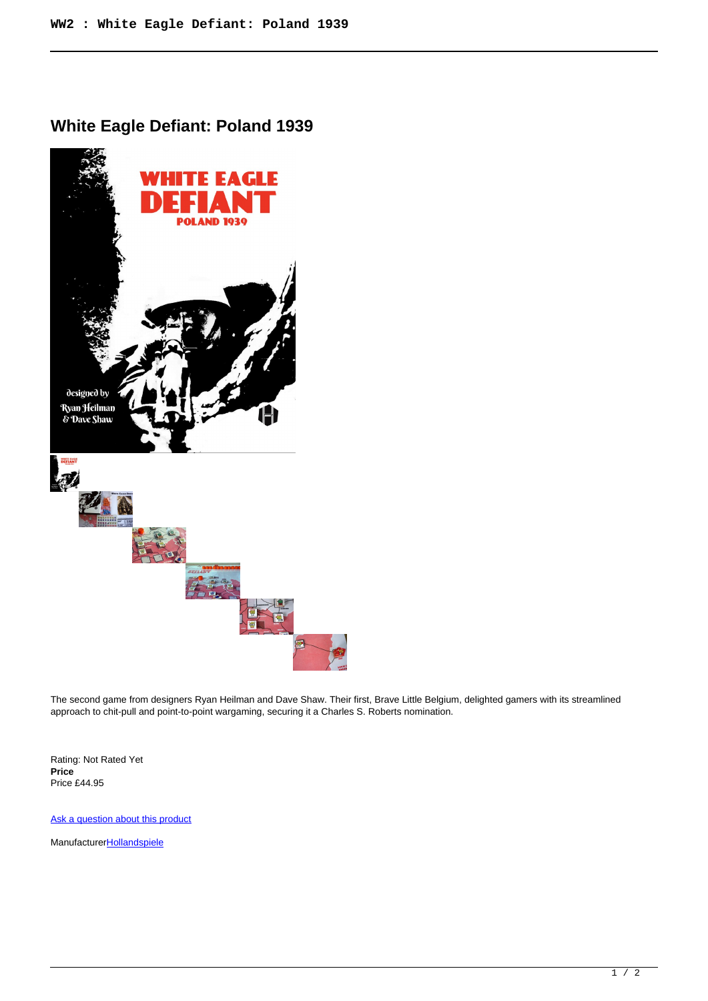## **White Eagle Defiant: Poland 1939**



The second game from designers Ryan Heilman and Dave Shaw. Their first, Brave Little Belgium, delighted gamers with its streamlined approach to chit-pull and point-to-point wargaming, securing it a Charles S. Roberts nomination.

Rating: Not Rated Yet **Price**  Price £44.95

[Ask a question about this product](https://www.secondchancegames.com/index.php?option=com_virtuemart&view=productdetails&task=askquestion&virtuemart_product_id=12719&virtuemart_category_id=5&tmpl=component)

Manufacturer**[Hollandspiele](https://www.secondchancegames.com/index.php?option=com_virtuemart&view=manufacturer&virtuemart_manufacturer_id=3066&tmpl=component)**